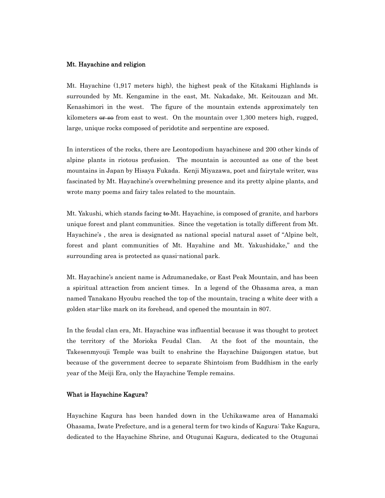### Mt. Hayachine and religion

Mt. Hayachine (1,917 meters high), the highest peak of the Kitakami Highlands is surrounded by Mt. Kengamine in the east, Mt. Nakadake, Mt. Keitouzan and Mt. Kenashimori in the west. The figure of the mountain extends approximately ten kilometers  $\theta r \neq 0$  from east to west. On the mountain over 1,300 meters high, rugged, large, unique rocks composed of peridotite and serpentine are exposed.

In interstices of the rocks, there are Leontopodium hayachinese and 200 other kinds of alpine plants in riotous profusion. The mountain is accounted as one of the best mountains in Japan by Hisaya Fukada. Kenji Miyazawa, poet and fairytale writer, was fascinated by Mt. Hayachine's overwhelming presence and its pretty alpine plants, and wrote many poems and fairy tales related to the mountain.

Mt. Yakushi, which stands facing to Mt. Hayachine, is composed of granite, and harbors unique forest and plant communities. Since the vegetation is totally different from Mt. Hayachine's , the area is designated as national special natural asset of "Alpine belt, forest and plant communities of Mt. Hayahine and Mt. Yakushidake," and the surrounding area is protected as quasi-national park.

Mt. Hayachine's ancient name is Adzumanedake, or East Peak Mountain, and has been a spiritual attraction from ancient times. In a legend of the Ohasama area, a man named Tanakano Hyoubu reached the top of the mountain, tracing a white deer with a golden star-like mark on its forehead, and opened the mountain in 807.

In the feudal clan era, Mt. Hayachine was influential because it was thought to protect the territory of the Morioka Feudal Clan. At the foot of the mountain, the Takesenmyouji Temple was built to enshrine the Hayachine Daigongen statue, but because of the government decree to separate Shintoism from Buddhism in the early year of the Meiji Era, only the Hayachine Temple remains.

### What is Hayachine Kagura?

Hayachine Kagura has been handed down in the Uchikawame area of Hanamaki Ohasama, Iwate Prefecture, and is a general term for two kinds of Kagura: Take Kagura, dedicated to the Hayachine Shrine, and Otugunai Kagura, dedicated to the Otugunai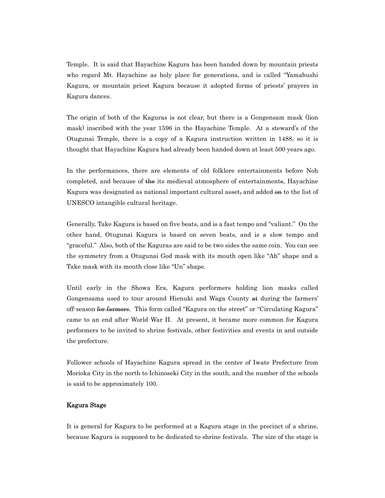Temple. It is said that Hayachine Kagura has been handed down by mountain priests who regard Mt. Hayachine as holy place for generations, and is called "Yamabushi Kagura, or mountain priest Kagura because it adopted forms of priests' prayers in Kagura dances.

The origin of both of the Kaguras is not clear, but there is a Gongensam mask (lion mask) inscribed with the year 1596 in the Hayachine Temple. At a steward's of the Otugunai Temple, there is a copy of a Kagura instruction written in 1488, so it is thought that Hayachine Kagura had already been handed down at least 500 years ago.

In the performances, there are elements of old folklore entertainments before Noh completed, and because of the its medieval atmosphere of entertainments, Hayachine Kagura was designated as national important cultural asset, and added on to the list of UNESCO intangible cultural heritage.

Generally, Take Kagura is based on five beats, and is a fast tempo and "valiant." On the other hand, Otugunai Kagura is based on seven beats, and is a slow tempo and "graceful." Also, both of the Kaguras are said to be two sides the same coin. You can see the symmetry from a Otugunai God mask with its mouth open like "Ah" shape and a Take mask with its mouth close like "Un" shape.

Until early in the Showa Era, Kagura performers holding lion masks called Gongensama used to tour around Hienuki and Waga County at during the farmers' off-season for farmers. This form called "Kagura on the street" or "Circulating Kagura" came to an end after World War II. At present, it became more common for Kagura performers to be invited to shrine festivals, other festivities and events in and outside the prefecture.

Follower schools of Hayachine Kagura spread in the center of Iwate Prefecture from Morioka City in the north to Ichinoseki City in the south, and the number of the schools is said to be approximately 100.

# Kagura Stage

It is general for Kagura to be performed at a Kagura stage in the precinct of a shrine, because Kagura is supposed to be dedicated to shrine festivals. The size of the stage is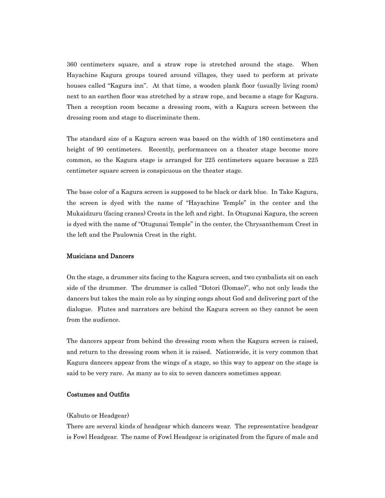360 centimeters square, and a straw rope is stretched around the stage. When Hayachine Kagura groups toured around villages, they used to perform at private houses called "Kagura inn". At that time, a wooden plank floor (usually living room) next to an earthen floor was stretched by a straw rope, and became a stage for Kagura. Then a reception room became a dressing room, with a Kagura screen between the dressing room and stage to discriminate them.

The standard size of a Kagura screen was based on the width of 180 centimeters and height of 90 centimeters. Recently, performances on a theater stage become more common, so the Kagura stage is arranged for 225 centimeters square because a 225 centimeter square screen is conspicuous on the theater stage.

The base color of a Kagura screen is supposed to be black or dark blue. In Take Kagura, the screen is dyed with the name of "Hayachine Temple" in the center and the Mukaidzuru (facing cranes) Crests in the left and right. In Otugunai Kagura, the screen is dyed with the name of "Otugunai Temple" in the center, the Chrysanthemum Crest in the left and the Paulownia Crest in the right.

## Musicians and Dancers

On the stage, a drummer sits facing to the Kagura screen, and two cymbalists sit on each side of the drummer. The drummer is called "Dotori (Domae)", who not only leads the dancers but takes the main role as by singing songs about God and delivering part of the dialogue. Flutes and narrators are behind the Kagura screen so they cannot be seen from the audience.

The dancers appear from behind the dressing room when the Kagura screen is raised, and return to the dressing room when it is raised. Nationwide, it is very common that Kagura dancers appear from the wings of a stage, so this way to appear on the stage is said to be very rare. As many as to six to seven dancers sometimes appear.

# Costumes and Outfits

### (Kabuto or Headgear)

There are several kinds of headgear which dancers wear. The representative headgear is Fowl Headgear. The name of Fowl Headgear is originated from the figure of male and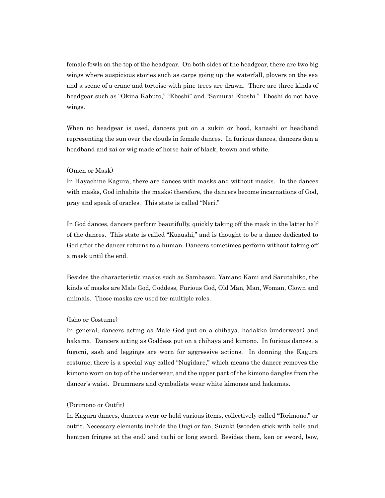female fowls on the top of the headgear. On both sides of the headgear, there are two big wings where auspicious stories such as carps going up the waterfall, plovers on the sea and a scene of a crane and tortoise with pine trees are drawn. There are three kinds of headgear such as "Okina Kabuto," "Eboshi" and "Samurai Eboshi." Eboshi do not have wings.

When no headgear is used, dancers put on a zukin or hood, kanashi or headband representing the sun over the clouds in female dances. In furious dances, dancers don a headband and zai or wig made of horse hair of black, brown and white.

### (Omen or Mask)

In Hayachine Kagura, there are dances with masks and without masks. In the dances with masks, God inhabits the masks; therefore, the dancers become incarnations of God, pray and speak of oracles. This state is called "Neri."

In God dances, dancers perform beautifully, quickly taking off the mask in the latter half of the dances. This state is called "Kuzushi," and is thought to be a dance dedicated to God after the dancer returns to a human. Dancers sometimes perform without taking off a mask until the end.

Besides the characteristic masks such as Sambasou, Yamano Kami and Sarutahiko, the kinds of masks are Male God, Goddess, Furious God, Old Man, Man, Woman, Clown and animals. Those masks are used for multiple roles.

### (Isho or Costume)

In general, dancers acting as Male God put on a chihaya, hadakko (underwear) and hakama. Dancers acting as Goddess put on a chihaya and kimono. In furious dances, a fugomi, sash and leggings are worn for aggressive actions. In donning the Kagura costume, there is a special way called "Nugidare," which means the dancer removes the kimono worn on top of the underwear, and the upper part of the kimono dangles from the dancer's waist. Drummers and cymbalists wear white kimonos and hakamas.

### (Torimono or Outfit)

In Kagura dances, dancers wear or hold various items, collectively called "Torimono," or outfit. Necessary elements include the Ougi or fan, Suzuki (wooden stick with bells and hempen fringes at the end) and tachi or long sword. Besides them, ken or sword, bow,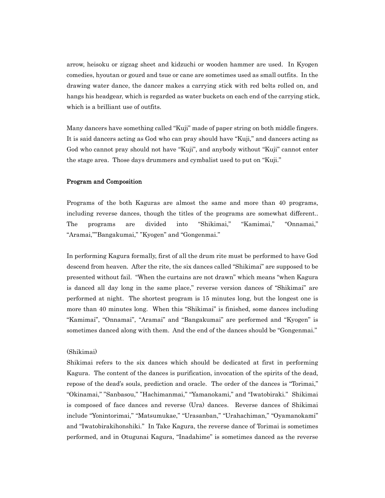arrow, heisoku or zigzag sheet and kidzuchi or wooden hammer are used. In Kyogen comedies, hyoutan or gourd and tsue or cane are sometimes used as small outfits. In the drawing water dance, the dancer makes a carrying stick with red belts rolled on, and hangs his headgear, which is regarded as water buckets on each end of the carrying stick, which is a brilliant use of outfits.

Many dancers have something called "Kuji" made of paper string on both middle fingers. It is said dancers acting as God who can pray should have "Kuji," and dancers acting as God who cannot pray should not have "Kuji", and anybody without "Kuji" cannot enter the stage area. Those days drummers and cymbalist used to put on "Kuji."

### Program and Composition

Programs of the both Kaguras are almost the same and more than 40 programs, including reverse dances, though the titles of the programs are somewhat different.. The programs are divided into "Shikimai," "Kamimai," "Onnamai," "Aramai,""Bangakumai," "Kyogen" and "Gongenmai."

In performing Kagura formally, first of all the drum rite must be performed to have God descend from heaven. After the rite, the six dances called "Shikimai" are supposed to be presented without fail. "When the curtains are not drawn" which means "when Kagura is danced all day long in the same place," reverse version dances of "Shikimai" are performed at night. The shortest program is 15 minutes long, but the longest one is more than 40 minutes long. When this "Shikimai" is finished, some dances including "Kamimai", "Onnamai", "Aramai" and "Bangakumai" are performed and "Kyogen" is sometimes danced along with them. And the end of the dances should be "Gongenmai."

### (Shikimai)

Shikimai refers to the six dances which should be dedicated at first in performing Kagura. The content of the dances is purification, invocation of the spirits of the dead, repose of the dead's souls, prediction and oracle. The order of the dances is "Torimai," "Okinamai," "Sanbasou," "Hachimanmai," "Yamanokami," and "Iwatobiraki." Shikimai is composed of face dances and reverse (Ura) dances. Reverse dances of Shikimai include "Yonintorimai," "Matsumukae," "Urasanban," "Urahachiman," "Oyamanokami" and "Iwatobirakihonshiki." In Take Kagura, the reverse dance of Torimai is sometimes performed, and in Otugunai Kagura, "Inadahime" is sometimes danced as the reverse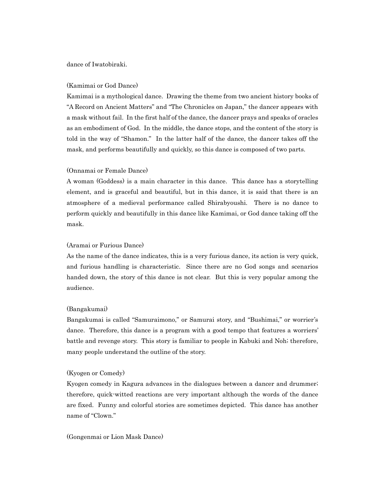### dance of Iwatobiraki.

### (Kamimai or God Dance)

Kamimai is a mythological dance. Drawing the theme from two ancient history books of "A Record on Ancient Matters" and "The Chronicles on Japan," the dancer appears with a mask without fail. In the first half of the dance, the dancer prays and speaks of oracles as an embodiment of God. In the middle, the dance stops, and the content of the story is told in the way of "Shamon." In the latter half of the dance, the dancer takes off the mask, and performs beautifully and quickly, so this dance is composed of two parts.

### (Onnamai or Female Dance)

A woman (Goddess) is a main character in this dance. This dance has a storytelling element, and is graceful and beautiful, but in this dance, it is said that there is an atmosphere of a medieval performance called Shirabyoushi. There is no dance to perform quickly and beautifully in this dance like Kamimai, or God dance taking off the mask.

# (Aramai or Furious Dance)

As the name of the dance indicates, this is a very furious dance, its action is very quick, and furious handling is characteristic. Since there are no God songs and scenarios handed down, the story of this dance is not clear. But this is very popular among the audience.

### (Bangakumai)

Bangakumai is called "Samuraimono," or Samurai story, and "Bushimai," or worrier's dance. Therefore, this dance is a program with a good tempo that features a worriers' battle and revenge story. This story is familiar to people in Kabuki and Noh; therefore, many people understand the outline of the story.

### (Kyogen or Comedy)

Kyogen comedy in Kagura advances in the dialogues between a dancer and drummer; therefore, quick-witted reactions are very important although the words of the dance are fixed. Funny and colorful stories are sometimes depicted. This dance has another name of "Clown."

(Gongenmai or Lion Mask Dance)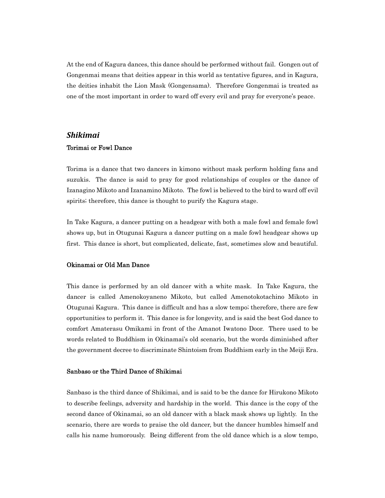At the end of Kagura dances, this dance should be performed without fail. Gongen out of Gongenmai means that deities appear in this world as tentative figures, and in Kagura, the deities inhabit the Lion Mask (Gongensama). Therefore Gongenmai is treated as one of the most important in order to ward off every evil and pray for everyone's peace.

# *Shikimai* Torimai or Fowl Dance

Torima is a dance that two dancers in kimono without mask perform holding fans and suzukis. The dance is said to pray for good relationships of couples or the dance of Izanagino Mikoto and Izanamino Mikoto. The fowl is believed to the bird to ward off evil spirits; therefore, this dance is thought to purify the Kagura stage.

In Take Kagura, a dancer putting on a headgear with both a male fowl and female fowl shows up, but in Otugunai Kagura a dancer putting on a male fowl headgear shows up first. This dance is short, but complicated, delicate, fast, sometimes slow and beautiful.

### Okinamai or Old Man Dance

This dance is performed by an old dancer with a white mask. In Take Kagura, the dancer is called Amenokoyaneno Mikoto, but called Amenotokotachino Mikoto in Otugunai Kagura. This dance is difficult and has a slow tempo; therefore, there are few opportunities to perform it. This dance is for longevity, and is said the best God dance to comfort Amaterasu Omikami in front of the Amanot Iwatono Door. There used to be words related to Buddhism in Okinamai's old scenario, but the words diminished after the government decree to discriminate Shintoism from Buddhism early in the Meiji Era.

### Sanbaso or the Third Dance of Shikimai

Sanbaso is the third dance of Shikimai, and is said to be the dance for Hirukono Mikoto to describe feelings, adversity and hardship in the world. This dance is the copy of the second dance of Okinamai, so an old dancer with a black mask shows up lightly. In the scenario, there are words to praise the old dancer, but the dancer humbles himself and calls his name humorously. Being different from the old dance which is a slow tempo,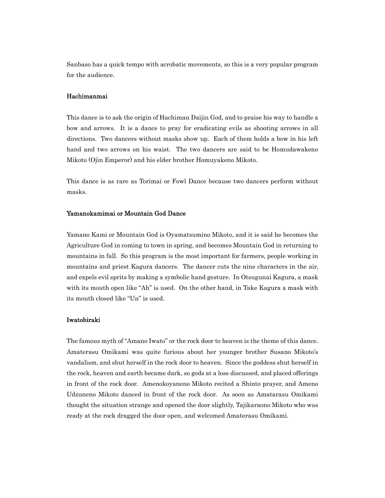Sanbaso has a quick tempo with acrobatic movements, so this is a very popular program for the audience.

### Hachimanmai

This dance is to ask the origin of Hachiman Daijin God, and to praise his way to handle a bow and arrows. It is a dance to pray for eradicating evils as shooting arrows in all directions. Two dancers without masks show up. Each of them holds a bow in his left hand and two arrows on his waist. The two dancers are said to be Homudawakeno Mikoto (Ojin Emperor) and his elder brother Homuyakeno Mikoto.

This dance is as rare as Torimai or Fowl Dance because two dancers perform without masks.

### Yamanokamimai or Mountain God Dance

Yamano Kami or Mountain God is Oyamatsumino Mikoto, and it is said he becomes the Agriculture God in coming to town in spring, and becomes Mountain God in returning to mountains in fall. So this program is the most important for farmers, people working in mountains and priest Kagura dancers. The dancer cuts the nine characters in the air, and expels evil sprits by making a symbolic hand gesture. In Otsugunai Kagura, a mask with its mouth open like "Ah" is used. On the other hand, in Take Kagura a mask with its mouth closed like "Un" is used.

### Iwatobiraki

The famous myth of "Amano Iwato" or the rock door to heaven is the theme of this dance. Amaterasu Omikami was quite furious about her younger brother Susano Mikoto's vandalism, and shut herself in the rock door to heaven. Since the goddess shut herself in the rock, heaven and earth became dark, so gods at a loss discussed, and placed offerings in front of the rock door. Amenokoyaneno Mikoto recited a Shinto prayer, and Ameno Udzuneno Mikoto danced in front of the rock door. As soon as Amatarasu Omikami thought the situation strange and opened the door slightly, Tajikaraono Mikoto who was ready at the rock dragged the door open, and welcomed Amaterasu Omikami.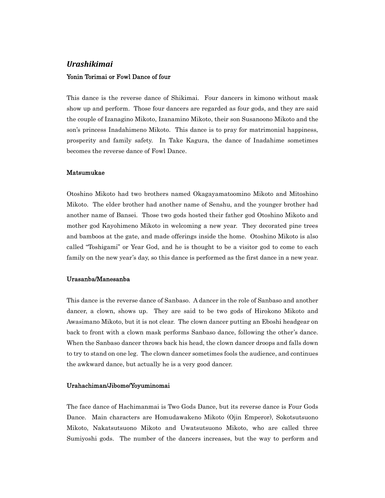# *Urashikimai* Yonin Torimai or Fowl Dance of four

This dance is the reverse dance of Shikimai. Four dancers in kimono without mask show up and perform. Those four dancers are regarded as four gods, and they are said the couple of Izanagino Mikoto, Izanamino Mikoto, their son Susanoono Mikoto and the son's princess Inadahimeno Mikoto. This dance is to pray for matrimonial happiness, prosperity and family safety. In Take Kagura, the dance of Inadahime sometimes becomes the reverse dance of Fowl Dance.

### Matsumukae

Otoshino Mikoto had two brothers named Okagayamatoomino Mikoto and Mitoshino Mikoto. The elder brother had another name of Senshu, and the younger brother had another name of Bansei. Those two gods hosted their father god Otoshino Mikoto and mother god Kayohimeno Mikoto in welcoming a new year. They decorated pine trees and bamboos at the gate, and made offerings inside the home. Otoshino Mikoto is also called "Toshigami" or Year God, and he is thought to be a visitor god to come to each family on the new year's day, so this dance is performed as the first dance in a new year.

### Urasanba/Manesanba

This dance is the reverse dance of Sanbaso. A dancer in the role of Sanbaso and another dancer, a clown, shows up. They are said to be two gods of Hirokono Mikoto and Awasimano Mikoto, but it is not clear. The clown dancer putting an Eboshi headgear on back to front with a clown mask performs Sanbaso dance, following the other's dance. When the Sanbaso dancer throws back his head, the clown dancer droops and falls down to try to stand on one leg. The clown dancer sometimes fools the audience, and continues the awkward dance, but actually he is a very good dancer.

#### Urahachiman/Jibome/Yoyuminomai

The face dance of Hachimanmai is Two Gods Dance, but its reverse dance is Four Gods Dance. Main characters are Homudawakeno Mikoto (Ojin Emperor), Sokotsutsuono Mikoto, Nakatsutsuono Mikoto and Uwatsutsuono Mikoto, who are called three Sumiyoshi gods. The number of the dancers increases, but the way to perform and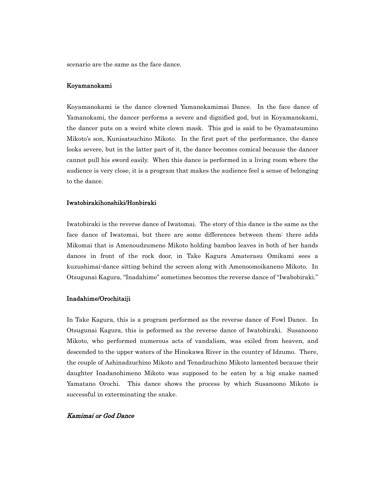scenario are the same as the face dance.

### Koyamanokami

Koyamanokami is the dance clowned Yamanokamimai Dance. In the face dance of Yamanokami, the dancer performs a severe and dignified god, but in Koyamanokami, the dancer puts on a weird white clown mask. This god is said to be Oyamatsumino Mikoto's son, Kunisatsuchino Mikoto. In the first part of the performance, the dance looks severe, but in the latter part of it, the dance becomes comical because the dancer cannot pull his sword easily. When this dance is performed in a living room where the audience is very close, it is a program that makes the audience feel a sense of belonging to the dance.

### Iwatobirakihonshiki/Honbiraki

Iwatobiraki is the reverse dance of Iwatomai. The story of this dance is the same as the face dance of Iwatomai, but there are some differences between them: there adds Mikomai that is Amenoudzumeno Mikoto holding bamboo leaves in both of her hands dances in front of the rock door, in Take Kagura Amaterasu Omikami sees a kuzushimai-dance sitting behind the screen along with Amenoomoikaneno Mikoto. In Otsugunai Kagura, "Inadahime" sometimes becomes the reverse dance of "Iwabobiraki."

### Inadahime/Orochitaiji

In Take Kagura, this is a program performed as the reverse dance of Fowl Dance. In Otsugunai Kagura, this is peformed as the reverse dance of Iwatobiraki. Susanoono Mikoto, who performed numerous acts of vandalism, was exiled from heaven, and descended to the upper waters of the Hinokawa River in the country of Idzumo. There, the couple of Ashinadzuchino Mikoto and Tenadzuchino Mikoto lamented because their daughter Inadanohimeno Mikoto was supposed to be eaten by a big snake named Yamatano Orochi. This dance shows the process by which Susanoono Mikoto is successful in exterminating the snake.

### Kamimai or God Dance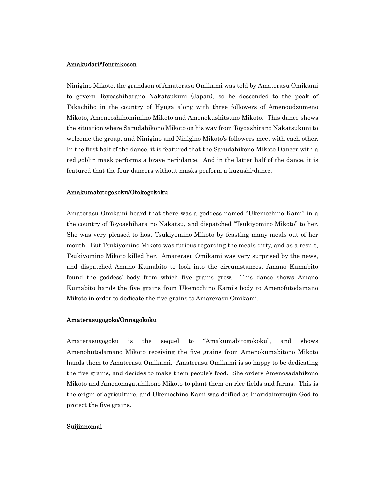### Amakudari/Tenrinkoson

Ninigino Mikoto, the grandson of Amaterasu Omikami was told by Amaterasu Omikami to govern Toyoashiharano Nakatsukuni (Japan), so he descended to the peak of Takachiho in the country of Hyuga along with three followers of Amenoudzumeno Mikoto, Amenooshihomimino Mikoto and Amenokushitsuno Mikoto. This dance shows the situation where Sarudahikono Mikoto on his way from Toyoashirano Nakatsukuni to welcome the group, and Ninigino and Ninigino Mikoto's followers meet with each other. In the first half of the dance, it is featured that the Sarudahikono Mikoto Dancer with a red goblin mask performs a brave neri-dance. And in the latter half of the dance, it is featured that the four dancers without masks perform a kuzushi-dance.

#### Amakumabitogokoku/Otokogokoku

Amaterasu Omikami heard that there was a goddess named "Ukemochino Kami" in a the country of Toyoashihara no Nakatsu, and dispatched "Tsukiyomino Mikoto" to her. She was very pleased to host Tsukiyomino Mikoto by feasting many meals out of her mouth. But Tsukiyomino Mikoto was furious regarding the meals dirty, and as a result, Tsukiyomino Mikoto killed her. Amaterasu Omikami was very surprised by the news, and dispatched Amano Kumabito to look into the circumstances. Amano Kumabito found the goddess' body from which five grains grew. This dance shows Amano Kumabito hands the five grains from Ukemochino Kami's body to Amenofutodamano Mikoto in order to dedicate the five grains to Amarerasu Omikami.

#### Amaterasugogoko/Onnagokoku

Amaterasugogoku is the sequel to "Amakumabitogokoku", and shows Amenohutodamano Mikoto receiving the five grains from Amenokumabitono Mikoto hands them to Amaterasu Omikami. Amaterasu Omikami is so happy to be dedicating the five grains, and decides to make them people's food. She orders Amenosadahikono Mikoto and Amenonagatahikono Mikoto to plant them on rice fields and farms. This is the origin of agriculture, and Ukemochino Kami was deified as Inaridaimyoujin God to protect the five grains.

#### Suijinnomai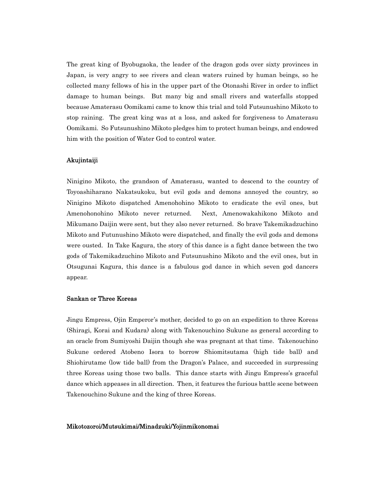The great king of Byobugaoka, the leader of the dragon gods over sixty provinces in Japan, is very angry to see rivers and clean waters ruined by human beings, so he collected many fellows of his in the upper part of the Otonashi River in order to inflict damage to human beings. But many big and small rivers and waterfalls stopped because Amaterasu Oomikami came to know this trial and told Futsunushino Mikoto to stop raining. The great king was at a loss, and asked for forgiveness to Amaterasu Oomikami. So Futsunushino Mikoto pledges him to protect human beings, and endowed him with the position of Water God to control water.

### Akujintaiji

Ninigino Mikoto, the grandson of Amaterasu, wanted to descend to the country of Toyoashiharano Nakatsukoku, but evil gods and demons annoyed the country, so Ninigino Mikoto dispatched Amenohohino Mikoto to eradicate the evil ones, but Amenohonohino Mikoto never returned. Next, Amenowakahikono Mikoto and Mikumano Daijin were sent, but they also never returned. So brave Takemikadzuchino Mikoto and Futunushino Mikoto were dispatched, and finally the evil gods and demons were ousted. In Take Kagura, the story of this dance is a fight dance between the two gods of Takemikadzuchino Mikoto and Futsunushino Mikoto and the evil ones, but in Otsugunai Kagura, this dance is a fabulous god dance in which seven god dancers appear.

### Sankan or Three Koreas

Jingu Empress, Ojin Emperor's mother, decided to go on an expedition to three Koreas (Shiragi, Korai and Kudara) along with Takenouchino Sukune as general according to an oracle from Sumiyoshi Daijin though she was pregnant at that time. Takenouchino Sukune ordered Atobeno Isora to borrow Shiomitsutama (high tide ball) and Shiohirutame (low tide ball) from the Dragon's Palace, and succeeded in surpressing three Koreas using those two balls. This dance starts with Jingu Empress's graceful dance which appeases in all direction. Then, it features the furious battle scene between Takenouchino Sukune and the king of three Koreas.

### Mikotozoroi/Mutsukimai/Minadzuki/Yojinmikonomai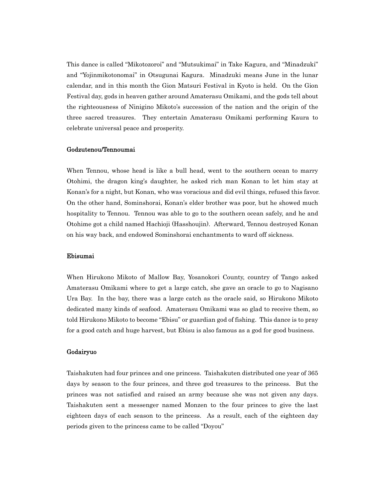This dance is called "Mikotozoroi" and "Mutsukimai" in Take Kagura, and "Minadzuki" and "Yojinmikotonomai" in Otsugunai Kagura. Minadzuki means June in the lunar calendar, and in this month the Gion Matsuri Festival in Kyoto is held. On the Gion Festival day, gods in heaven gather around Amaterasu Omikami, and the gods tell about the righteousness of Ninigino Mikoto's succession of the nation and the origin of the three sacred treasures. They entertain Amaterasu Omikami performing Kaura to celebrate universal peace and prosperity.

### Godzutenou/Tennoumai

When Tennou, whose head is like a bull head, went to the southern ocean to marry Otohimi, the dragon king's daughter, he asked rich man Konan to let him stay at Konan's for a night, but Konan, who was voracious and did evil things, refused this favor. On the other hand, Sominshorai, Konan's elder brother was poor, but he showed much hospitality to Tennou. Tennou was able to go to the southern ocean safely, and he and Otohime got a child named Hachioji (Hasshoujin). Afterward, Tennou destroyed Konan on his way back, and endowed Sominshorai enchantments to ward off sickness.

## Ebisumai

When Hirukono Mikoto of Mallow Bay, Yosanokori County, country of Tango asked Amaterasu Omikami where to get a large catch, she gave an oracle to go to Nagisano Ura Bay. In the bay, there was a large catch as the oracle said, so Hirukono Mikoto dedicated many kinds of seafood. Amaterasu Omikami was so glad to receive them, so told Hirukono Mikoto to become "Ebisu" or guardian god of fishing. This dance is to pray for a good catch and huge harvest, but Ebisu is also famous as a god for good business.

### Godairyuo

Taishakuten had four princes and one princess. Taishakuten distributed one year of 365 days by season to the four princes, and three god treasures to the princess. But the princes was not satisfied and raised an army because she was not given any days. Taishakuten sent a messenger named Monzen to the four princes to give the last eighteen days of each season to the princess. As a result, each of the eighteen day periods given to the princess came to be called "Doyou"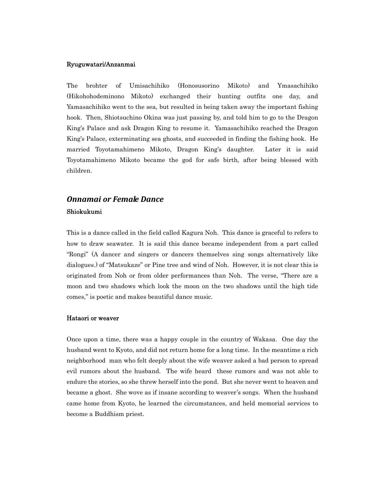#### Ryuguwatari/Anzanmai

The brohter of Umisachihiko (Honosusorino Mikoto) and Ymasachihiko (Hikohohodeminono Mikoto) exchanged their hunting outfits one day, and Yamasachihiko went to the sea, but resulted in being taken away the important fishing hook. Then, Shiotsuchino Okina was just passing by, and told him to go to the Dragon King's Palace and ask Dragon King to resume it. Yamasachihiko reached the Dragon King's Palace, exterminating sea ghosts, and succeeded in finding the fishing hook. He married Toyotamahimeno Mikoto, Dragon King's daughter. Later it is said Toyotamahimeno Mikoto became the god for safe birth, after being blessed with children.

# *Onnamai or Female Dance* Shiokukumi

This is a dance called in the field called Kagura Noh. This dance is graceful to refers to how to draw seawater. It is said this dance became independent from a part called "Rongi" (A dancer and singers or dancers themselves sing songs alternatively like dialogues.) of "Matsukaze" or Pine tree and wind of Noh. However, it is not clear this is originated from Noh or from older performances than Noh. The verse, "There are a moon and two shadows which look the moon on the two shadows until the high tide comes," is poetic and makes beautiful dance music.

### Hataori or weaver

Once upon a time, there was a happy couple in the country of Wakasa. One day the husband went to Kyoto, and did not return home for a long time. In the meantime a rich neighborhood man who felt deeply about the wife weaver asked a bad person to spread evil rumors about the husband. The wife heard these rumors and was not able to endure the stories, so she threw herself into the pond. But she never went to heaven and became a ghost. She wove as if insane according to weaver's songs. When the husband came home from Kyoto, he learned the circumstances, and held memorial services to become a Buddhism priest.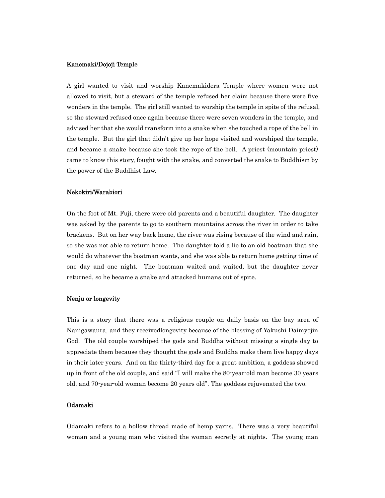### Kanemaki/Dojoji Temple

A girl wanted to visit and worship Kanemakidera Temple where women were not allowed to visit, but a steward of the temple refused her claim because there were five wonders in the temple. The girl still wanted to worship the temple in spite of the refusal, so the steward refused once again because there were seven wonders in the temple, and advised her that she would transform into a snake when she touched a rope of the bell in the temple. But the girl that didn't give up her hope visited and worshiped the temple, and became a snake because she took the rope of the bell. A priest (mountain priest) came to know this story, fought with the snake, and converted the snake to Buddhism by the power of the Buddhist Law.

### Nekokiri/Warabiori

On the foot of Mt. Fuji, there were old parents and a beautiful daughter. The daughter was asked by the parents to go to southern mountains across the river in order to take brackens. But on her way back home, the river was rising because of the wind and rain, so she was not able to return home. The daughter told a lie to an old boatman that she would do whatever the boatman wants, and she was able to return home getting time of one day and one night. The boatman waited and waited, but the daughter never returned, so he became a snake and attacked humans out of spite.

### Nenju or longevity

This is a story that there was a religious couple on daily basis on the bay area of Nanigawaura, and they receivedlongevity because of the blessing of Yakushi Daimyojin God. The old couple worshiped the gods and Buddha without missing a single day to appreciate them because they thought the gods and Buddha make them live happy days in their later years. And on the thirty-third day for a great ambition, a goddess showed up in front of the old couple, and said "I will make the 80-year-old man become 30 years old, and 70-year-old woman become 20 years old". The goddess rejuvenated the two.

# Odamaki

Odamaki refers to a hollow thread made of hemp yarns. There was a very beautiful woman and a young man who visited the woman secretly at nights. The young man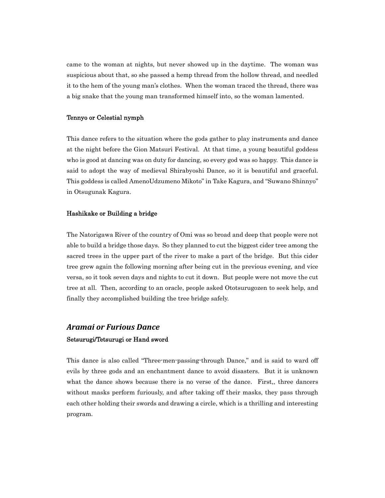came to the woman at nights, but never showed up in the daytime. The woman was suspicious about that, so she passed a hemp thread from the hollow thread, and needled it to the hem of the young man's clothes. When the woman traced the thread, there was a big snake that the young man transformed himself into, so the woman lamented.

# Tennyo or Celestial nymph

This dance refers to the situation where the gods gather to play instruments and dance at the night before the Gion Matsuri Festival. At that time, a young beautiful goddess who is good at dancing was on duty for dancing, so every god was so happy. This dance is said to adopt the way of medieval Shirabyoshi Dance, so it is beautiful and graceful. This goddess is called AmenoUdzumeno Mikoto" in Take Kagura, and "Suwano Shinnyo" in Otsugunak Kagura.

### Hashikake or Building a bridge

The Natorigawa River of the country of Omi was so broad and deep that people were not able to build a bridge those days. So they planned to cut the biggest cider tree among the sacred trees in the upper part of the river to make a part of the bridge. But this cider tree grew again the following morning after being cut in the previous evening, and vice versa, so it took seven days and nights to cut it down. But people were not move the cut tree at all. Then, according to an oracle, people asked Ototsurugozen to seek help, and finally they accomplished building the tree bridge safely.

# *Aramai or Furious Dance* Setsurugi/Tetsurugi or Hand sword

This dance is also called "Three-men-passing-through Dance," and is said to ward off evils by three gods and an enchantment dance to avoid disasters. But it is unknown what the dance shows because there is no verse of the dance. First,, three dancers without masks perform furiously, and after taking off their masks, they pass through each other holding their swords and drawing a circle, which is a thrilling and interesting program.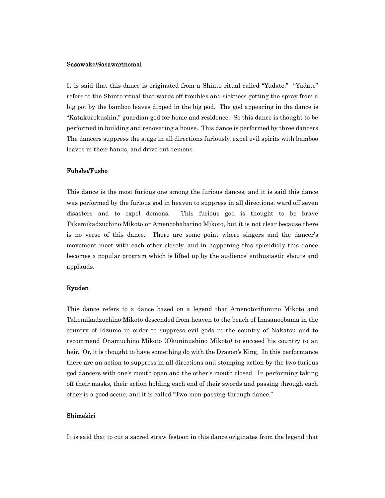#### Sasawake/Sasawarinomai

It is said that this dance is originated from a Shinto ritual called "Yudate." "Yudate" refers to the Shinto ritual that wards off troubles and sickness getting the spray from a big pot by the bamboo leaves dipped in the big pod. The god appearing in the dance is "Katakurokushin," guardian god for home and residence. So this dance is thought to be performed in building and renovating a house. This dance is performed by three dancers. The dancers suppress the stage in all directions furiously, expel evil spirits with bamboo leaves in their hands, and drive out demons.

### Fuhsho/Fusho

This dance is the most furious one among the furious dances, and it is said this dance was performed by the furious god in heaven to suppress in all directions, ward off seven disasters and to expel demons. This furious god is thought to be brave Takemikadzuchino Mikoto or Amenoohabarino Mikoto, but it is not clear because there is no verse of this dance. There are some point where singers and the dancer's movement meet with each other closely, and in happening this splendidly this dance becomes a popular program which is lifted up by the audience' enthusiastic shouts and applauds.

### Ryuden

This dance refers to a dance based on a legend that Amenotorifumino Mikoto and Takemikadzuchino Mikoto descended from heaven to the beach of Inasanoobama in the country of Idzumo in order to suppress evil gods in the country of Nakatsu and to recommend Onamuchino Mikoto (Okuninushino Mikoto) to succeed his country to an heir. Or, it is thought to have something do with the Dragon's King. In this performance there are an action to suppress in all directions and stomping action by the two furious god dancers with one's mouth open and the other's mouth closed. In performing taking off their masks, their action holding each end of their swords and passing through each other is a good scene, and it is called "Two-men-passing-through dance."

### Shimekiri

It is said that to cut a sacred straw festoon in this dance originates from the legend that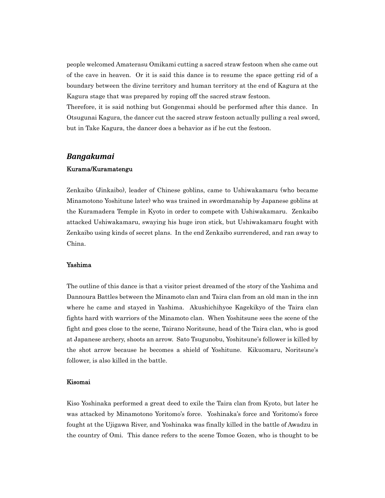people welcomed Amaterasu Omikami cutting a sacred straw festoon when she came out of the cave in heaven. Or it is said this dance is to resume the space getting rid of a boundary between the divine territory and human territory at the end of Kagura at the Kagura stage that was prepared by roping off the sacred straw festoon.

Therefore, it is said nothing but Gongenmai should be performed after this dance. In Otsugunai Kagura, the dancer cut the sacred straw festoon actually pulling a real sword, but in Take Kagura, the dancer does a behavior as if he cut the festoon.

# *Bangakumai*

# Kurama/Kuramatengu

Zenkaibo (Jinkaibo), leader of Chinese goblins, came to Ushiwakamaru (who became Minamotono Yoshitune later) who was trained in swordmanship by Japanese goblins at the Kuramadera Temple in Kyoto in order to compete with Ushiwakamaru. Zenkaibo attacked Ushiwakamaru, swaying his huge iron stick, but Ushiwakamaru fought with Zenkaibo using kinds of secret plans. In the end Zenkaibo surrendered, and ran away to China.

# Yashima

The outline of this dance is that a visitor priest dreamed of the story of the Yashima and Dannoura Battles between the Minamoto clan and Taira clan from an old man in the inn where he came and stayed in Yashima. Akushichihyoe Kagekikyo of the Taira clan fights hard with warriors of the Minamoto clan. When Yoshitsune sees the scene of the fight and goes close to the scene, Tairano Noritsune, head of the Taira clan, who is good at Japanese archery, shoots an arrow. Sato Tsugunobu, Yoshitsune's follower is killed by the shot arrow because he becomes a shield of Yoshitune. Kikuomaru, Noritsune's follower, is also killed in the battle.

### Kisomai

Kiso Yoshinaka performed a great deed to exile the Taira clan from Kyoto, but later he was attacked by Minamotono Yoritomo's force. Yoshinaka's force and Yoritomo's force fought at the Ujigawa River, and Yoshinaka was finally killed in the battle of Awadzu in the country of Omi. This dance refers to the scene Tomoe Gozen, who is thought to be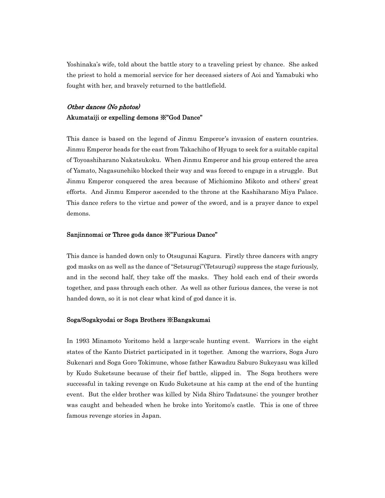Yoshinaka's wife, told about the battle story to a traveling priest by chance. She asked the priest to hold a memorial service for her deceased sisters of Aoi and Yamabuki who fought with her, and bravely returned to the battlefield.

# Other dances (No photos) Akumataiji or expelling demons ※"God Dance"

This dance is based on the legend of Jinmu Emperor's invasion of eastern countries. Jinmu Emperor heads for the east from Takachiho of Hyuga to seek for a suitable capital of Toyoashiharano Nakatsukoku. When Jinmu Emperor and his group entered the area of Yamato, Nagasunehiko blocked their way and was forced to engage in a struggle. But Jinmu Emperor conquered the area because of Michiomino Mikoto and others' great efforts. And Jinmu Emperor ascended to the throne at the Kashiharano Miya Palace. This dance refers to the virtue and power of the sword, and is a prayer dance to expel demons.

# Sanjinnomai or Three gods dance ※"Furious Dance"

This dance is handed down only to Otsugunai Kagura. Firstly three dancers with angry god masks on as well as the dance of "Setsurugi"(Tetsurugi) suppress the stage furiously, and in the second half, they take off the masks. They hold each end of their swords together, and pass through each other. As well as other furious dances, the verse is not handed down, so it is not clear what kind of god dance it is.

### Soga/Sogakyodai or Soga Brothers ※Bangakumai

In 1993 Minamoto Yoritomo held a large-scale hunting event. Warriors in the eight states of the Kanto District participated in it together. Among the warriors, Soga Juro Sukenari and Soga Goro Tokimune, whose father Kawadzu Saburo Sukeyasu was killed by Kudo Suketsune because of their fief battle, slipped in. The Soga brothers were successful in taking revenge on Kudo Suketsune at his camp at the end of the hunting event. But the elder brother was killed by Nida Shiro Tadatsune; the younger brother was caught and beheaded when he broke into Yoritomo's castle. This is one of three famous revenge stories in Japan.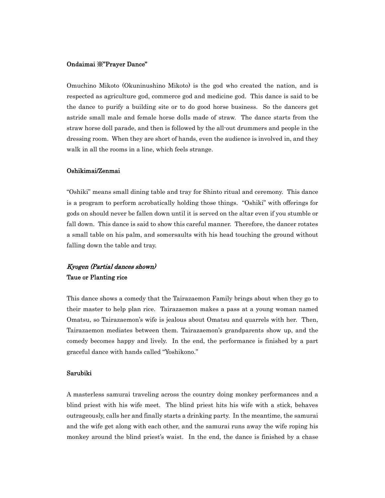### Ondaimai ※"Prayer Dance"

Omuchino Mikoto (Okuninushino Mikoto) is the god who created the nation, and is respected as agriculture god, commerce god and medicine god. This dance is said to be the dance to purify a building site or to do good horse business. So the dancers get astride small male and female horse dolls made of straw. The dance starts from the straw horse doll parade, and then is followed by the all-out drummers and people in the dressing room. When they are short of hands, even the audience is involved in, and they walk in all the rooms in a line, which feels strange.

### Oshikimai/Zenmai

"Oshiki" means small dining table and tray for Shinto ritual and ceremony. This dance is a program to perform acrobatically holding those things. "Oshiki" with offerings for gods on should never be fallen down until it is served on the altar even if you stumble or fall down. This dance is said to show this careful manner. Therefore, the dancer rotates a small table on his palm, and somersaults with his head touching the ground without falling down the table and tray.

# Kyogen (Partial dances shown) Taue or Planting rice

This dance shows a comedy that the Tairazaemon Family brings about when they go to their master to help plan rice. Tairazaemon makes a pass at a young woman named Omatsu, so Tairazaemon's wife is jealous about Omatsu and quarrels with her. Then, Tairazaemon mediates between them. Tairazaemon's grandparents show up, and the comedy becomes happy and lively. In the end, the performance is finished by a part graceful dance with hands called "Yoshikono."

### Sarubiki

A masterless samurai traveling across the country doing monkey performances and a blind priest with his wife meet. The blind priest hits his wife with a stick, behaves outrageously, calls her and finally starts a drinking party. In the meantime, the samurai and the wife get along with each other, and the samurai runs away the wife roping his monkey around the blind priest's waist. In the end, the dance is finished by a chase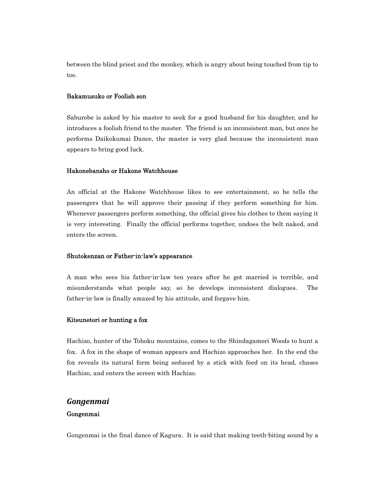between the blind priest and the monkey, which is angry about being touched from tip to toe.

### Bakamusuko or Foolish son

Saburobe is asked by his master to seek for a good husband for his daughter, and he introduces a foolish friend to the master. The friend is an inconsistent man, but once he performs Daikokumai Dance, the master is very glad because the inconsistent man appears to bring good luck.

### Hakonebansho or Hakone Watchhouse

An official at the Hakone Watchhouse likes to see entertainment, so he tells the passengers that he will approve their passing if they perform something for him. Whenever passengers perform something, the official gives his clothes to them saying it is very interesting. Finally the official performs together, undoes the belt naked, and enters the screen.

# Shutokenzan or Father-in-law's appearance

A man who sees his father-in-law ten years after he got married is terrible, and misunderstands what people say, so he develops inconsistent dialogues. The father-in-law is finally amazed by his attitude, and forgave him.

### Kitsunetori or hunting a fox

Hachizo, hunter of the Tohoku mountains, comes to the Shindagamori Woods to hunt a fox. A fox in the shape of woman appears and Hachizo approaches her. In the end the fox reveals its natural form being seduced by a stick with feed on its head, chases Hachizo, and enters the screen with Hachizo.

# *Gongenmai*

# Gongenmai

Gongenmai is the final dance of Kagura. It is said that making teeth-biting sound by a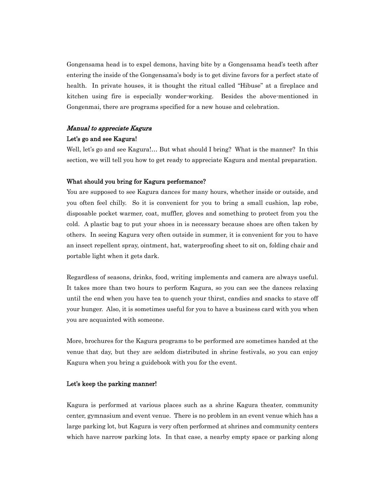Gongensama head is to expel demons, having bite by a Gongensama head's teeth after entering the inside of the Gongensama's body is to get divine favors for a perfect state of health. In private houses, it is thought the ritual called "Hibuse" at a fireplace and kitchen using fire is especially wonder-working. Besides the above-mentioned in Gongenmai, there are programs specified for a new house and celebration.

# Manual to appreciate Kagura

# Let's go and see Kagura!

Well, let's go and see Kagura!... But what should I bring? What is the manner? In this section, we will tell you how to get ready to appreciate Kagura and mental preparation.

### What should you bring for Kagura performance?

You are supposed to see Kagura dances for many hours, whether inside or outside, and you often feel chilly. So it is convenient for you to bring a small cushion, lap robe, disposable pocket warmer, coat, muffler, gloves and something to protect from you the cold. A plastic bag to put your shoes in is necessary because shoes are often taken by others. In seeing Kagura very often outside in summer, it is convenient for you to have an insect repellent spray, ointment, hat, waterproofing sheet to sit on, folding chair and portable light when it gets dark.

Regardless of seasons, drinks, food, writing implements and camera are always useful. It takes more than two hours to perform Kagura, so you can see the dances relaxing until the end when you have tea to quench your thirst, candies and snacks to stave off your hunger. Also, it is sometimes useful for you to have a business card with you when you are acquainted with someone.

More, brochures for the Kagura programs to be performed are sometimes handed at the venue that day, but they are seldom distributed in shrine festivals, so you can enjoy Kagura when you bring a guidebook with you for the event.

### Let's keep the parking manner!

Kagura is performed at various places such as a shrine Kagura theater, community center, gymnasium and event venue. There is no problem in an event venue which has a large parking lot, but Kagura is very often performed at shrines and community centers which have narrow parking lots. In that case, a nearby empty space or parking along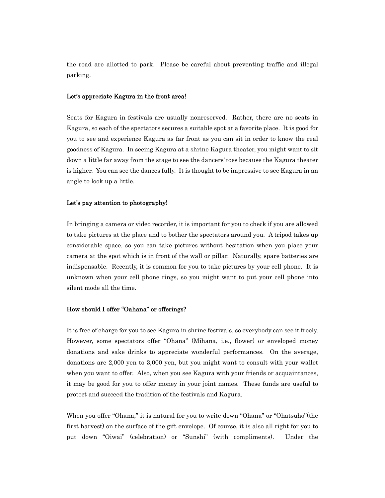the road are allotted to park. Please be careful about preventing traffic and illegal parking.

### Let's appreciate Kagura in the front area!

Seats for Kagura in festivals are usually nonreserved. Rather, there are no seats in Kagura, so each of the spectators secures a suitable spot at a favorite place. It is good for you to see and experience Kagura as far front as you can sit in order to know the real goodness of Kagura. In seeing Kagura at a shrine Kagura theater, you might want to sit down a little far away from the stage to see the dancers' toes because the Kagura theater is higher. You can see the dances fully. It is thought to be impressive to see Kagura in an angle to look up a little.

### Let's pay attention to photography!

In bringing a camera or video recorder, it is important for you to check if you are allowed to take pictures at the place and to bother the spectators around you. A tripod takes up considerable space, so you can take pictures without hesitation when you place your camera at the spot which is in front of the wall or pillar. Naturally, spare batteries are indispensable. Recently, it is common for you to take pictures by your cell phone. It is unknown when your cell phone rings, so you might want to put your cell phone into silent mode all the time.

# How should I offer "Oahana" or offerings?

It is free of charge for you to see Kagura in shrine festivals, so everybody can see it freely. However, some spectators offer "Ohana" (Mihana, i.e., flower) or enveloped money donations and sake drinks to appreciate wonderful performances. On the average, donations are 2,000 yen to 3,000 yen, but you might want to consult with your wallet when you want to offer. Also, when you see Kagura with your friends or acquaintances, it may be good for you to offer money in your joint names. These funds are useful to protect and succeed the tradition of the festivals and Kagura.

When you offer "Ohana," it is natural for you to write down "Ohana" or "Ohatsuho"(the first harvest) on the surface of the gift envelope. Of course, it is also all right for you to put down "Oiwai" (celebration) or "Sunshi" (with compliments). Under the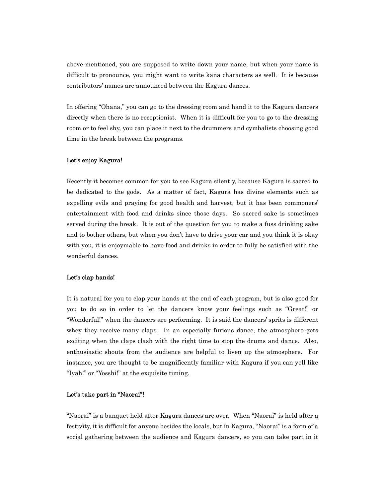above-mentioned, you are supposed to write down your name, but when your name is difficult to pronounce, you might want to write kana characters as well. It is because contributors' names are announced between the Kagura dances.

In offering "Ohana," you can go to the dressing room and hand it to the Kagura dancers directly when there is no receptionist. When it is difficult for you to go to the dressing room or to feel shy, you can place it next to the drummers and cymbalists choosing good time in the break between the programs.

### Let's enjoy Kagura!

Recently it becomes common for you to see Kagura silently, because Kagura is sacred to be dedicated to the gods. As a matter of fact, Kagura has divine elements such as expelling evils and praying for good health and harvest, but it has been commoners' entertainment with food and drinks since those days. So sacred sake is sometimes served during the break. It is out of the question for you to make a fuss drinking sake and to bother others, but when you don't have to drive your car and you think it is okay with you, it is enjoymable to have food and drinks in order to fully be satisfied with the wonderful dances.

### Let's clap hands!

It is natural for you to clap your hands at the end of each program, but is also good for you to do so in order to let the dancers know your feelings such as "Great!" or "Wonderful!" when the dancers are performing. It is said the dancers' sprits is different whey they receive many claps. In an especially furious dance, the atmosphere gets exciting when the claps clash with the right time to stop the drums and dance. Also, enthusiastic shouts from the audience are helpful to liven up the atmosphere. For instance, you are thought to be magnificently familiar with Kagura if you can yell like "Iyah!" or "Yosshi!" at the exquisite timing.

# Let's take part in "Naorai"!

"Naorai" is a banquet held after Kagura dances are over. When "Naorai" is held after a festivity, it is difficult for anyone besides the locals, but in Kagura, "Naorai" is a form of a social gathering between the audience and Kagura dancers, so you can take part in it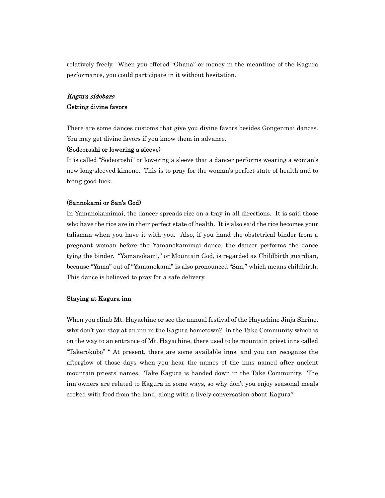relatively freely. When you offered "Ohana" or money in the meantime of the Kagura performance, you could participate in it without hesitation.

# Kagura sidebars Getting divine favors

There are some dances customs that give you divine favors besides Gongenmai dances. You may get divine favors if you know them in advance.

### (Sodeoroshi or lowering a sleeve)

It is called "Sodeoroshi" or lowering a sleeve that a dancer performs wearing a woman's new long-sleeved kimono. This is to pray for the woman's perfect state of health and to bring good luck.

### (Sannokami or San's God)

In Yamanokamimai, the dancer spreads rice on a tray in all directions. It is said those who have the rice are in their perfect state of health. It is also said the rice becomes your talisman when you have it with you. Also, if you hand the obstetrical binder from a pregnant woman before the Yamanokamimai dance, the dancer performs the dance tying the binder. "Yamanokami," or Mountain God, is regarded as Childbirth guardian, because "Yama" out of "Yamanokami" is also pronounced "San," which means childbirth. This dance is believed to pray for a safe delivery.

### Staying at Kagura inn

When you climb Mt. Hayachine or see the annual festival of the Hayachine Jinja Shrine, why don't you stay at an inn in the Kagura hometown? In the Take Community which is on the way to an entrance of Mt. Hayachine, there used to be mountain priest inns called "Takerokubo" " At present, there are some available inns, and you can recognize the afterglow of those days when you hear the names of the inns named after ancient mountain priests' names. Take Kagura is handed down in the Take Community. The inn owners are related to Kagura in some ways, so why don't you enjoy seasonal meals cooked with food from the land, along with a lively conversation about Kagura?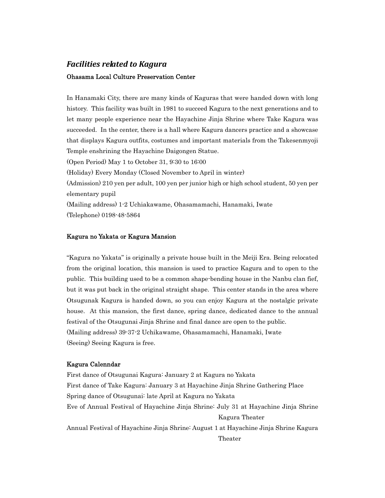# *Facilities related to Kagura* Ohasama Local Culture Preservation Center

In Hanamaki City, there are many kinds of Kaguras that were handed down with long history. This facility was built in 1981 to succeed Kagura to the next generations and to let many people experience near the Hayachine Jinja Shrine where Take Kagura was succeeded. In the center, there is a hall where Kagura dancers practice and a showcase that displays Kagura outfits, costumes and important materials from the Takesenmyoji Temple enshrining the Hayachine Daigongen Statue. (Open Period) May 1 to October 31, 9:30 to 16:00 (Holiday) Every Monday (Closed November to April in winter) (Admission) 210 yen per adult, 100 yen per junior high or high school student, 50 yen per elementary pupil

(Mailing address) 1-2 Uchiakawame, Ohasamamachi, Hanamaki, Iwate (Telephone) 0198-48-5864

# Kagura no Yakata or Kagura Mansion

"Kagura no Yakata" is originally a private house built in the Meiji Era. Being relocated from the original location, this mansion is used to practice Kagura and to open to the public. This building used to be a common shape-bending house in the Nanbu clan fief, but it was put back in the original straight shape. This center stands in the area where Otsugunak Kagura is handed down, so you can enjoy Kagura at the nostalgic private house. At this mansion, the first dance, spring dance, dedicated dance to the annual festival of the Otsugunai Jinja Shrine and final dance are open to the public. (Mailing address) 39-37-2 Uchikawame, Ohasamamachi, Hanamaki, Iwate (Seeing) Seeing Kagura is free.

# Kagura Calenndar

First dance of Otsugunai Kagura: January 2 at Kagura no Yakata First dance of Take Kagura: January 3 at Hayachine Jinja Shrine Gathering Place Spring dance of Otsugunai: late April at Kagura no Yakata Eve of Annual Festival of Hayachine Jinja Shrine: July 31 at Hayachine Jinja Shrine Kagura Theater Annual Festival of Hayachine Jinja Shrine: August 1 at Hayachine Jinja Shrine Kagura Theater